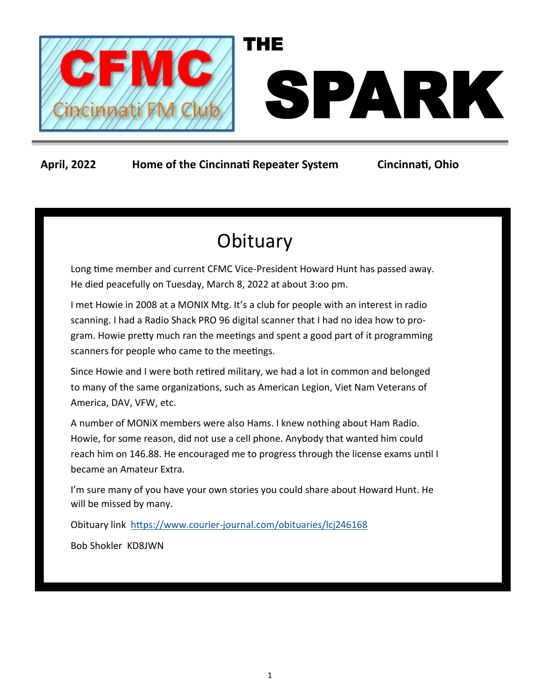

### **April, 2022 Home of the Cincinnati Repeater System Cincinnati, Ohio**

# **Obituary**

Long time member and current CFMC Vice-President Howard Hunt has passed away. He died peacefully on Tuesday, March 8, 2022 at about 3:oo pm.

I met Howie in 2008 at a MONIX Mtg. It's a club for people with an interest in radio scanning. I had a Radio Shack PRO 96 digital scanner that I had no idea how to program. Howie pretty much ran the meetings and spent a good part of it programming scanners for people who came to the meetings.

Since Howie and I were both retired military, we had a lot in common and belonged to many of the same organizations, such as American Legion, Viet Nam Veterans of America, DAV, VFW, etc.

A number of MONiX members were also Hams. I knew nothing about Ham Radio. Howie, for some reason, did not use a cell phone. Anybody that wanted him could reach him on 146.88. He encouraged me to progress through the license exams until I became an Amateur Extra.

I'm sure many of you have your own stories you could share about Howard Hunt. He will be missed by many.

Obituary link https://www.courier-[journal.com/obituaries/lcj246168](https://www.courier-journal.com/obituaries/lcj246168)

Bob Shokler KD8JWN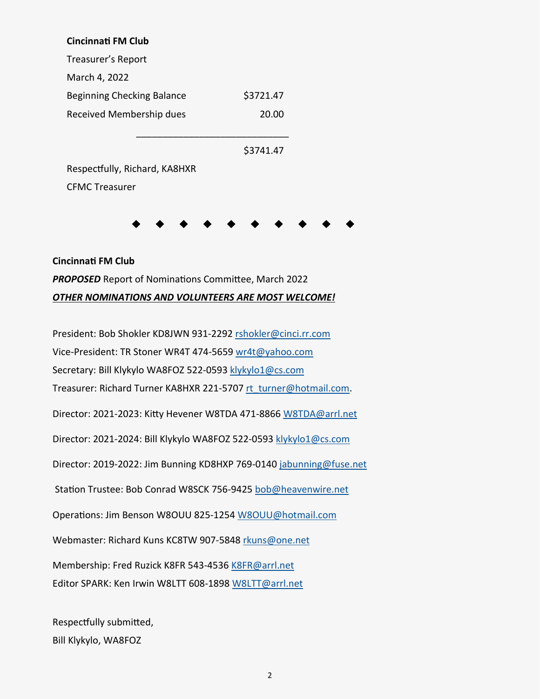#### **Cincinnati FM Club**

Treasurer's Report March 4, 2022 Beginning Checking Balance \$3721.47 Received Membership dues 20.00

 $\overline{\phantom{a}}$  ,  $\overline{\phantom{a}}$  ,  $\overline{\phantom{a}}$  ,  $\overline{\phantom{a}}$  ,  $\overline{\phantom{a}}$  ,  $\overline{\phantom{a}}$  ,  $\overline{\phantom{a}}$  ,  $\overline{\phantom{a}}$  ,  $\overline{\phantom{a}}$  ,  $\overline{\phantom{a}}$  ,  $\overline{\phantom{a}}$  ,  $\overline{\phantom{a}}$  ,  $\overline{\phantom{a}}$  ,  $\overline{\phantom{a}}$  ,  $\overline{\phantom{a}}$  ,  $\overline{\phantom{a}}$ 

\$3741.47

Respectfully, Richard, KA8HXR CFMC Treasurer

## **Cincinnati FM Club** *PROPOSED* Report of Nominations Committee, March 2022 *OTHER NOMINATIONS AND VOLUNTEERS ARE MOST WELCOME!*

President: Bob Shokler KD8JWN 931-2292 [rshokler@cinci.rr.com](mailto:rshokler@cinci.rr.com) Vice-President: TR Stoner WR4T 474-5659 [wr4t@yahoo.com](mailto:wr4t@yahoo.com) Secretary: Bill Klykylo WA8FOZ 522-0593 [klykylo1@cs.com](mailto:klykylo1@cs.com) Treasurer: Richard Turner KA8HXR 221-5707 [rt\\_turner@hotmail.com.](mailto:rt_turner@hotmail.com) Director: 2021-2023: Kitty Hevener W8TDA 471-8866 [W8TDA@arrl.net](mailto:W8TDA@arrl.net) Director: 2021-2024: Bill Klykylo WA8FOZ 522-0593 [klykylo1@cs.com](mailto:klykylo1@cs.com) Director: 2019-2022: Jim Bunning KD8HXP 769-0140 [jabunning@fuse.net](mailto:jabunning@fuse.net) Station Trustee: Bob Conrad W8SCK 756-9425 [bob@heavenwire.net](mailto:bob@heavenwire.net) Operations: Jim Benson W8OUU 825-1254 [W8OUU@hotmail.com](mailto:W8OUU@hotmail.com) Webmaster: Richard Kuns KC8TW 907-5848 [rkuns@one.net](mailto:rkuns@one.net) Membership: Fred Ruzick K8FR 543-4536 [K8FR@arrl.net](mailto:K8FR@arrl.net) Editor SPARK: Ken Irwin W8LTT 608-1898 [W8LTT@arrl.net](mailto:W8LTT@arrl.net)

Respectfully submitted, Bill Klykylo, WA8FOZ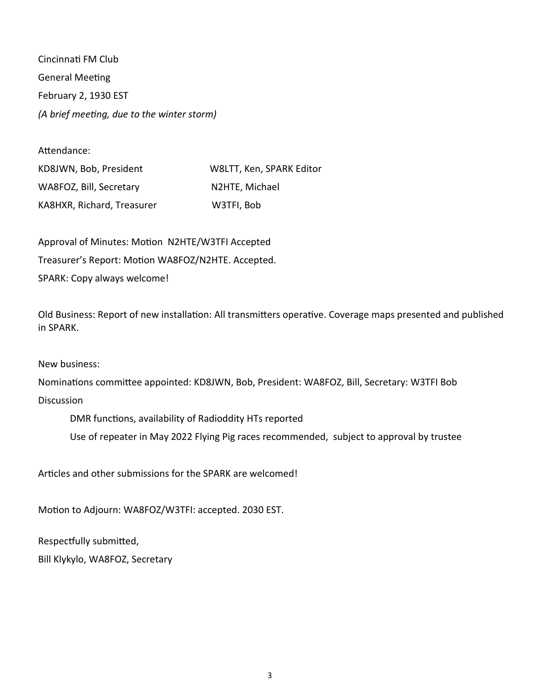Cincinnati FM Club General Meeting February 2, 1930 EST *(A brief meeting, due to the winter storm)*

| Attendance:                |                          |
|----------------------------|--------------------------|
| KD8JWN, Bob, President     | W8LTT, Ken, SPARK Editor |
| WA8FOZ, Bill, Secretary    | N2HTE, Michael           |
| KA8HXR, Richard, Treasurer | W3TFI, Bob               |

Approval of Minutes: Motion N2HTE/W3TFI Accepted Treasurer's Report: Motion WA8FOZ/N2HTE. Accepted. SPARK: Copy always welcome!

Old Business: Report of new installation: All transmitters operative. Coverage maps presented and published in SPARK.

New business:

Nominations committee appointed: KD8JWN, Bob, President: WA8FOZ, Bill, Secretary: W3TFI Bob

**Discussion** 

DMR functions, availability of Radioddity HTs reported

Use of repeater in May 2022 Flying Pig races recommended, subject to approval by trustee

Articles and other submissions for the SPARK are welcomed!

Motion to Adjourn: WA8FOZ/W3TFI: accepted. 2030 EST.

Respectfully submitted,

Bill Klykylo, WA8FOZ, Secretary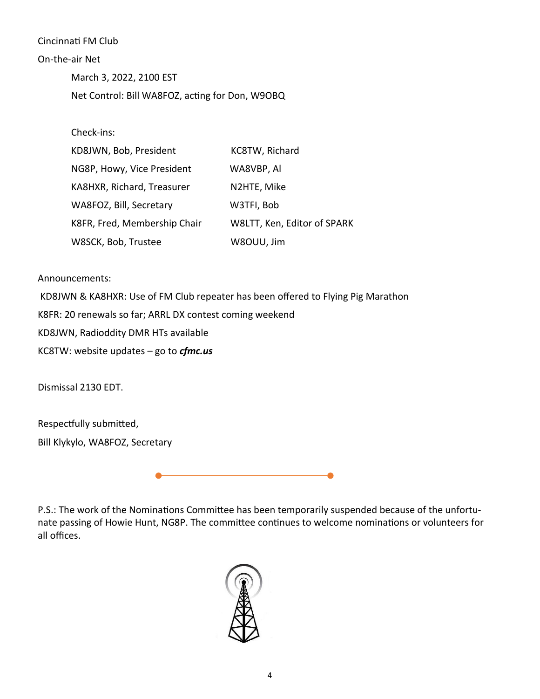#### Cincinnati FM Club

#### On-the-air Net

March 3, 2022, 2100 EST Net Control: Bill WA8FOZ, acting for Don, W9OBQ

Check-ins:

| KD8JWN, Bob, President       | KC8TW, Richard              |
|------------------------------|-----------------------------|
| NG8P, Howy, Vice President   | WA8VBP, Al                  |
| KA8HXR, Richard, Treasurer   | N2HTE, Mike                 |
| WA8FOZ, Bill, Secretary      | W3TFI, Bob                  |
| K8FR, Fred, Membership Chair | W8LTT, Ken, Editor of SPARK |
| W8SCK, Bob, Trustee          | W8OUU, Jim                  |

#### Announcements:

KD8JWN & KA8HXR: Use of FM Club repeater has been offered to Flying Pig Marathon K8FR: 20 renewals so far; ARRL DX contest coming weekend KD8JWN, Radioddity DMR HTs available KC8TW: website updates – go to *cfmc.us* 

Dismissal 2130 EDT.

Respectfully submitted, Bill Klykylo, WA8FOZ, Secretary

۰

P.S.: The work of the Nominations Committee has been temporarily suspended because of the unfortunate passing of Howie Hunt, NG8P. The committee continues to welcome nominations or volunteers for all offices.

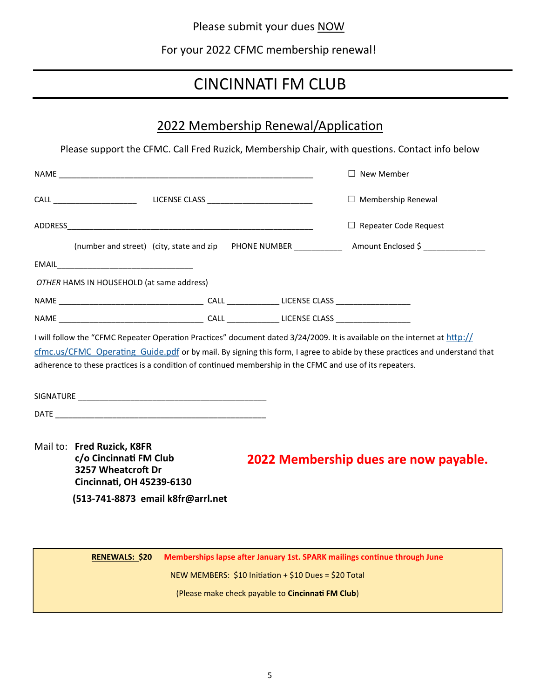Please submit your dues NOW

For your 2022 CFMC membership renewal!

## CINCINNATI FM CLUB

## 2022 Membership Renewal/Application

Please support the CFMC. Call Fred Ruzick, Membership Chair, with questions. Contact info below

|                                                                                                                            |  | New Member                                                                                                                 |
|----------------------------------------------------------------------------------------------------------------------------|--|----------------------------------------------------------------------------------------------------------------------------|
|                                                                                                                            |  | $\Box$ Membership Renewal                                                                                                  |
|                                                                                                                            |  | $\Box$ Repeater Code Request                                                                                               |
|                                                                                                                            |  |                                                                                                                            |
|                                                                                                                            |  |                                                                                                                            |
| OTHER HAMS IN HOUSEHOLD (at same address)                                                                                  |  |                                                                                                                            |
|                                                                                                                            |  |                                                                                                                            |
|                                                                                                                            |  |                                                                                                                            |
| I will follow the "CFMC Repeater Operation Practices" document dated 3/24/2009. It is available on the internet at http:// |  |                                                                                                                            |
|                                                                                                                            |  | cfmc.us/CFMC Operating Guide.pdf or by mail. By signing this form, I agree to abide by these practices and understand that |
| adherence to these practices is a condition of continued membership in the CFMC and use of its repeaters.                  |  |                                                                                                                            |

SIGNATURE \_\_\_\_\_\_\_\_\_\_\_\_\_\_\_\_\_\_\_\_\_\_\_\_\_\_\_\_\_\_\_\_\_\_\_\_\_\_\_\_\_\_\_ DATE \_\_\_\_\_\_\_\_\_\_\_\_\_\_\_\_\_\_\_\_\_\_\_\_\_\_\_\_\_\_\_\_\_\_\_\_\_\_\_\_\_\_\_\_\_\_\_\_

Mail to: **Fred Ruzick, K8FR c/o Cincinnati FM Club 3257 Wheatcroft Dr Cincinnati, OH 45239-6130**

**2022 Membership dues are now payable.**

 **(513-741-8873 email k8fr@arrl.net**

**RENEWALS: \$20 Memberships lapse after January 1st. SPARK mailings continue through June** NEW MEMBERS: \$10 Initiation + \$10 Dues = \$20 Total (Please make check payable to **Cincinnati FM Club**)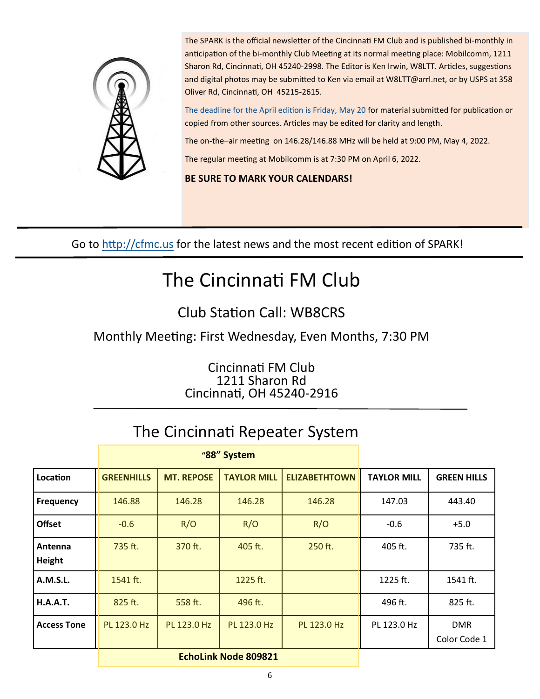

The SPARK is the official newsletter of the Cincinnati FM Club and is published bi-monthly in anticipation of the bi-monthly Club Meeting at its normal meeting place: Mobilcomm, 1211 Sharon Rd, Cincinnati, OH 45240-2998. The Editor is Ken Irwin, W8LTT. Articles, suggestions and digital photos may be submitted to Ken via email at W8LTT@arrl.net, or by USPS at 358 Oliver Rd, Cincinnati, OH 45215-2615.

The deadline for the April edition is Friday, May 20 for material submitted for publication or copied from other sources. Articles may be edited for clarity and length.

The on-the–air meeting on 146.28/146.88 MHz will be held at 9:00 PM, May 4, 2022.

The regular meeting at Mobilcomm is at 7:30 PM on April 6, 2022.

### **BE SURE TO MARK YOUR CALENDARS!**

Go to <http://cfmc.us> for the latest news and the most recent edition of SPARK!

# The Cincinnati FM Club

## Club Station Call: WB8CRS

Monthly Meeting: First Wednesday, Even Months, 7:30 PM

Cincinnati FM Club 1211 Sharon Rd Cincinnati, OH 45240-2916

## The Cincinnati Repeater System

|                    | "88" System                 |                   |                    |                      |                    |                            |
|--------------------|-----------------------------|-------------------|--------------------|----------------------|--------------------|----------------------------|
| Location           | <b>GREENHILLS</b>           | <b>MT. REPOSE</b> | <b>TAYLOR MILL</b> | <b>ELIZABETHTOWN</b> | <b>TAYLOR MILL</b> | <b>GREEN HILLS</b>         |
| <b>Frequency</b>   | 146.88                      | 146.28            | 146.28             | 146.28               | 147.03             | 443.40                     |
| <b>Offset</b>      | $-0.6$                      | R/O               | R/O                | R/O                  | $-0.6$             | $+5.0$                     |
| Antenna<br>Height  | 735 ft.                     | 370 ft.           | 405 ft.            | $250$ ft.            | 405 ft.            | 735 ft.                    |
| <b>A.M.S.L.</b>    | 1541 ft.                    |                   | 1225 ft.           |                      | 1225 ft.           | 1541 ft.                   |
| <b>H.A.A.T.</b>    | 825 ft.                     | 558 ft.           | 496 ft.            |                      | 496 ft.            | 825 ft.                    |
| <b>Access Tone</b> | PL 123.0 Hz                 | PL 123.0 Hz       | PL 123.0 Hz        | PL 123.0 Hz          | PL 123.0 Hz        | <b>DMR</b><br>Color Code 1 |
|                    | <b>EchoLink Node 809821</b> |                   |                    |                      |                    |                            |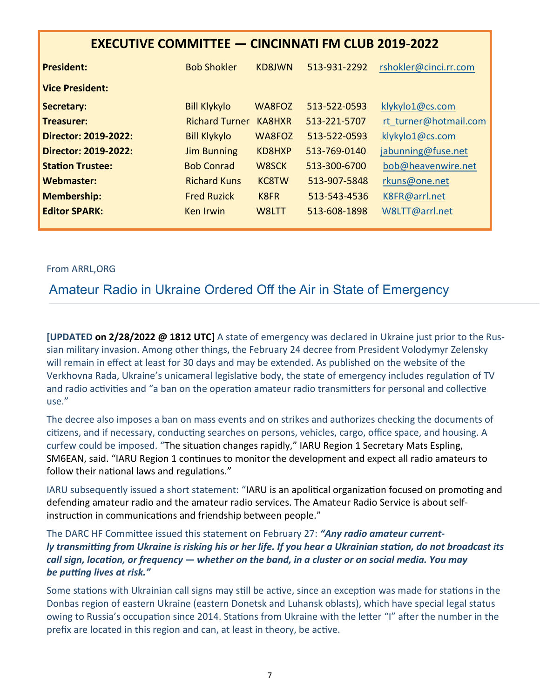| <b>EXECUTIVE COMMITTEE - CINCINNATI FM CLUB 2019-2022</b> |                       |                   |              |                       |  |
|-----------------------------------------------------------|-----------------------|-------------------|--------------|-----------------------|--|
| <b>President:</b>                                         | <b>Bob Shokler</b>    | <b>KD8JWN</b>     | 513-931-2292 | rshokler@cinci.rr.com |  |
| <b>Vice President:</b>                                    |                       |                   |              |                       |  |
| Secretary:                                                | <b>Bill Klykylo</b>   | WA8FOZ            | 513-522-0593 | klykylo1@cs.com       |  |
| Treasurer:                                                | <b>Richard Turner</b> | KA8HXR            | 513-221-5707 | rt turner@hotmail.com |  |
| Director: 2019-2022:                                      | <b>Bill Klykylo</b>   | WA8FOZ            | 513-522-0593 | klykylo1@cs.com       |  |
| Director: 2019-2022:                                      | <b>Jim Bunning</b>    | KD8HXP            | 513-769-0140 | jabunning@fuse.net    |  |
| <b>Station Trustee:</b>                                   | <b>Bob Conrad</b>     | W8SCK             | 513-300-6700 | bob@heavenwire.net    |  |
| Webmaster:                                                | <b>Richard Kuns</b>   | <b>KC8TW</b>      | 513-907-5848 | rkuns@one.net         |  |
| <b>Membership:</b>                                        | <b>Fred Ruzick</b>    | K <sub>8</sub> FR | 513-543-4536 | K8FR@arrl.net         |  |
| <b>Editor SPARK:</b>                                      | Ken Irwin             | W8LTT             | 513-608-1898 | W8LTT@arrl.net        |  |

### From ARRL,ORG

## Amateur Radio in Ukraine Ordered Off the Air in State of Emergency

**[UPDATED on 2/28/2022 @ 1812 UTC]** A state of emergency was declared in Ukraine just prior to the Russian military invasion. Among other things, the February 24 decree from President Volodymyr Zelensky will remain in effect at least for 30 days and may be extended. As published on the website of the Verkhovna Rada, Ukraine's unicameral legislative body, the state of emergency includes regulation of TV and radio activities and "a ban on the operation amateur radio transmitters for personal and collective use."

The decree also imposes a ban on mass events and on strikes and authorizes checking the documents of citizens, and if necessary, conducting searches on persons, vehicles, cargo, office space, and housing. A curfew could be imposed. "The situation changes rapidly," IARU Region 1 Secretary Mats Espling, SM6EAN, said. "IARU Region 1 continues to monitor the development and expect all radio amateurs to follow their national laws and regulations."

IARU subsequently issued a short statement: "IARU is an apolitical organization focused on promoting and defending amateur radio and the amateur radio services. The Amateur Radio Service is about selfinstruction in communications and friendship between people."

The DARC HF Committee issued this statement on February 27: *"Any radio amateur currently transmitting from Ukraine is risking his or her life. If you hear a Ukrainian station, do not broadcast its call sign, location, or frequency — whether on the band, in a cluster or on social media. You may be putting lives at risk."*

Some stations with Ukrainian call signs may still be active, since an exception was made for stations in the Donbas region of eastern Ukraine (eastern Donetsk and Luhansk oblasts), which have special legal status owing to Russia's occupation since 2014. Stations from Ukraine with the letter "I" after the number in the prefix are located in this region and can, at least in theory, be active.